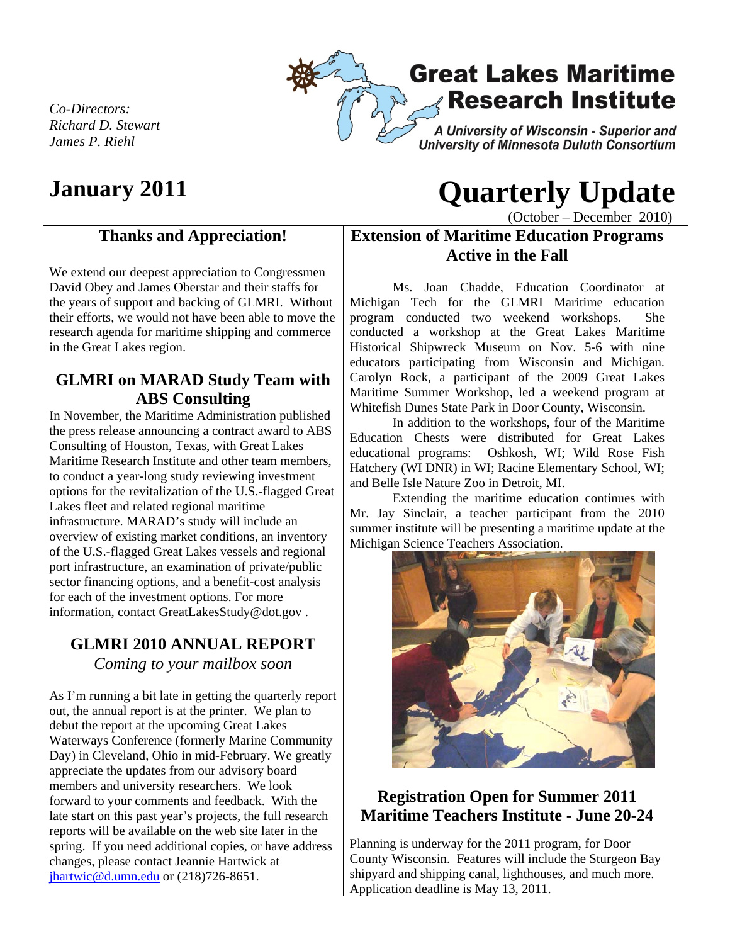

*Co-Directors: Richard D. Stewart James P. Riehl* 

# **January 2011 Quarterly Update**

(October – December 2010)

#### **Thanks and Appreciation!**

We extend our deepest appreciation to Congressmen David Obey and James Oberstar and their staffs for the years of support and backing of GLMRI. Without their efforts, we would not have been able to move the research agenda for maritime shipping and commerce in the Great Lakes region.

#### **GLMRI on MARAD Study Team with ABS Consulting**

In November, the Maritime Administration published the press release announcing a contract award to ABS Consulting of Houston, Texas, with Great Lakes Maritime Research Institute and other team members, to conduct a year-long study reviewing investment options for the revitalization of the U.S.-flagged Great Lakes fleet and related regional maritime infrastructure. MARAD's study will include an overview of existing market conditions, an inventory of the U.S.-flagged Great Lakes vessels and regional port infrastructure, an examination of private/public sector financing options, and a benefit-cost analysis for each of the investment options. For more information, contact GreatLakesStudy@dot.gov .

## **GLMRI 2010 ANNUAL REPORT**

*Coming to your mailbox soon* 

As I'm running a bit late in getting the quarterly report out, the annual report is at the printer. We plan to debut the report at the upcoming Great Lakes Waterways Conference (formerly Marine Community Day) in Cleveland, Ohio in mid-February. We greatly appreciate the updates from our advisory board members and university researchers. We look forward to your comments and feedback. With the late start on this past year's projects, the full research reports will be available on the web site later in the spring. If you need additional copies, or have address changes, please contact Jeannie Hartwick at jhartwic@d.umn.edu or (218)726-8651.

### **Extension of Maritime Education Programs Active in the Fall**

Ms. Joan Chadde, Education Coordinator at Michigan Tech for the GLMRI Maritime education program conducted two weekend workshops. She conducted a workshop at the Great Lakes Maritime Historical Shipwreck Museum on Nov. 5-6 with nine educators participating from Wisconsin and Michigan. Carolyn Rock, a participant of the 2009 Great Lakes Maritime Summer Workshop, led a weekend program at Whitefish Dunes State Park in Door County, Wisconsin.

In addition to the workshops, four of the Maritime Education Chests were distributed for Great Lakes educational programs: Oshkosh, WI; Wild Rose Fish Hatchery (WI DNR) in WI; Racine Elementary School, WI; and Belle Isle Nature Zoo in Detroit, MI.

Extending the maritime education continues with Mr. Jay Sinclair, a teacher participant from the 2010 summer institute will be presenting a maritime update at the Michigan Science Teachers Association.



#### **Registration Open for Summer 2011 Maritime Teachers Institute - June 20-24**

Planning is underway for the 2011 program, for Door County Wisconsin. Features will include the Sturgeon Bay shipyard and shipping canal, lighthouses, and much more. Application deadline is May 13, 2011.